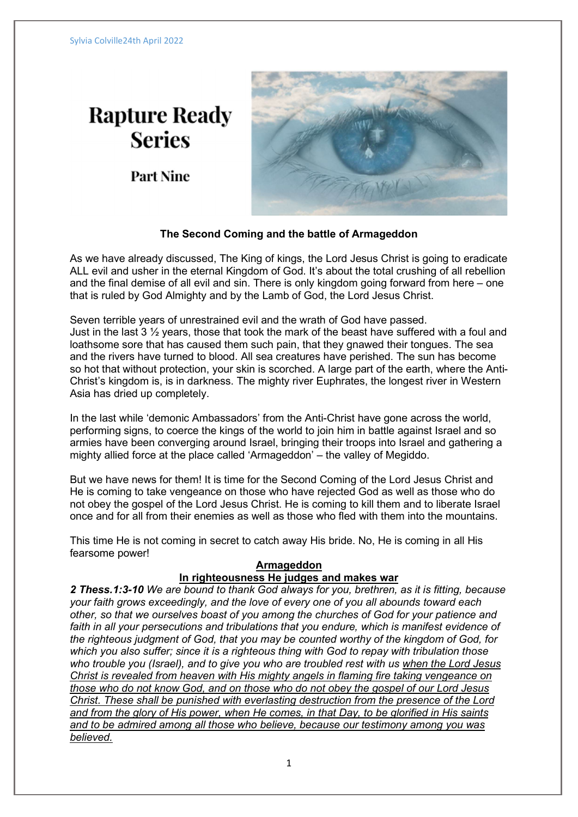# **Rapture Ready Series**

**Part Nine** 



# The Second Coming and the battle of Armageddon

As we have already discussed, The King of kings, the Lord Jesus Christ is going to eradicate ALL evil and usher in the eternal Kingdom of God. It's about the total crushing of all rebellion and the final demise of all evil and sin. There is only kingdom going forward from here – one that is ruled by God Almighty and by the Lamb of God, the Lord Jesus Christ.

Seven terrible years of unrestrained evil and the wrath of God have passed. Just in the last 3  $\frac{1}{2}$  years, those that took the mark of the beast have suffered with a foul and loathsome sore that has caused them such pain, that they gnawed their tongues. The sea and the rivers have turned to blood. All sea creatures have perished. The sun has become so hot that without protection, your skin is scorched. A large part of the earth, where the Anti-Christ's kingdom is, is in darkness. The mighty river Euphrates, the longest river in Western Asia has dried up completely.

In the last while 'demonic Ambassadors' from the Anti-Christ have gone across the world, performing signs, to coerce the kings of the world to join him in battle against Israel and so armies have been converging around Israel, bringing their troops into Israel and gathering a mighty allied force at the place called 'Armageddon' – the valley of Megiddo.

But we have news for them! It is time for the Second Coming of the Lord Jesus Christ and He is coming to take vengeance on those who have rejected God as well as those who do not obey the gospel of the Lord Jesus Christ. He is coming to kill them and to liberate Israel once and for all from their enemies as well as those who fled with them into the mountains.

This time He is not coming in secret to catch away His bride. No, He is coming in all His fearsome power!

# Armageddon

# In righteousness He judges and makes war

2 Thess.1:3-10 We are bound to thank God always for you, brethren, as it is fitting, because your faith grows exceedingly, and the love of every one of you all abounds toward each other, so that we ourselves boast of you among the churches of God for your patience and faith in all your persecutions and tribulations that you endure, which is manifest evidence of the righteous judgment of God, that you may be counted worthy of the kingdom of God, for which you also suffer; since it is a righteous thing with God to repay with tribulation those who trouble you (Israel), and to give you who are troubled rest with us when the Lord Jesus Christ is revealed from heaven with His mighty angels in flaming fire taking vengeance on those who do not know God, and on those who do not obey the gospel of our Lord Jesus Christ. These shall be punished with everlasting destruction from the presence of the Lord and from the glory of His power, when He comes, in that Day, to be glorified in His saints and to be admired among all those who believe, because our testimony among you was believed.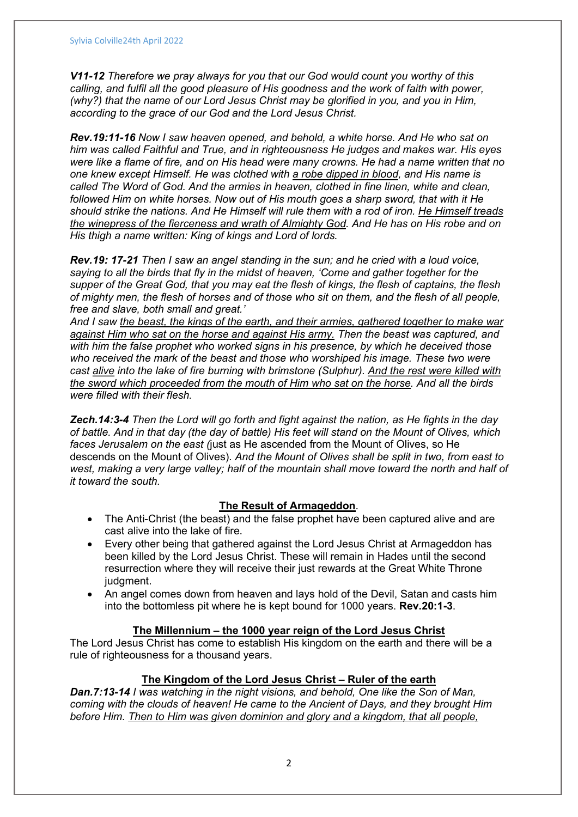V11-12 Therefore we pray always for you that our God would count you worthy of this calling, and fulfil all the good pleasure of His goodness and the work of faith with power, (why?) that the name of our Lord Jesus Christ may be glorified in you, and you in Him, according to the grace of our God and the Lord Jesus Christ.

Rev.19:11-16 Now I saw heaven opened, and behold, a white horse. And He who sat on him was called Faithful and True, and in righteousness He judges and makes war. His eyes were like a flame of fire, and on His head were many crowns. He had a name written that no one knew except Himself. He was clothed with a robe dipped in blood, and His name is called The Word of God. And the armies in heaven, clothed in fine linen, white and clean, followed Him on white horses. Now out of His mouth goes a sharp sword, that with it He should strike the nations. And He Himself will rule them with a rod of iron. He Himself treads the winepress of the fierceness and wrath of Almighty God. And He has on His robe and on His thigh a name written: King of kings and Lord of lords.

Rev.19: 17-21 Then I saw an angel standing in the sun; and he cried with a loud voice, saying to all the birds that fly in the midst of heaven, 'Come and gather together for the supper of the Great God, that you may eat the flesh of kings, the flesh of captains, the flesh of mighty men, the flesh of horses and of those who sit on them, and the flesh of all people, free and slave, both small and great.'

And I saw the beast, the kings of the earth, and their armies, gathered together to make war against Him who sat on the horse and against His army. Then the beast was captured, and with him the false prophet who worked signs in his presence, by which he deceived those who received the mark of the beast and those who worshiped his image. These two were cast alive into the lake of fire burning with brimstone (Sulphur). And the rest were killed with the sword which proceeded from the mouth of Him who sat on the horse. And all the birds were filled with their flesh.

Zech.14:3-4 Then the Lord will go forth and fight against the nation, as He fights in the day of battle. And in that day (the day of battle) His feet will stand on the Mount of Olives, which faces Jerusalem on the east (just as He ascended from the Mount of Olives, so He descends on the Mount of Olives). And the Mount of Olives shall be split in two, from east to west, making a very large valley; half of the mountain shall move toward the north and half of it toward the south.

# The Result of Armageddon.

- The Anti-Christ (the beast) and the false prophet have been captured alive and are cast alive into the lake of fire.
- Every other being that gathered against the Lord Jesus Christ at Armageddon has been killed by the Lord Jesus Christ. These will remain in Hades until the second resurrection where they will receive their just rewards at the Great White Throne judgment.
- An angel comes down from heaven and lays hold of the Devil, Satan and casts him into the bottomless pit where he is kept bound for 1000 years. Rev.20:1-3.

#### The Millennium – the 1000 year reign of the Lord Jesus Christ

The Lord Jesus Christ has come to establish His kingdom on the earth and there will be a rule of righteousness for a thousand years.

# The Kingdom of the Lord Jesus Christ – Ruler of the earth

Dan.7:13-14 I was watching in the night visions, and behold, One like the Son of Man, coming with the clouds of heaven! He came to the Ancient of Days, and they brought Him before Him. Then to Him was given dominion and glory and a kingdom, that all people,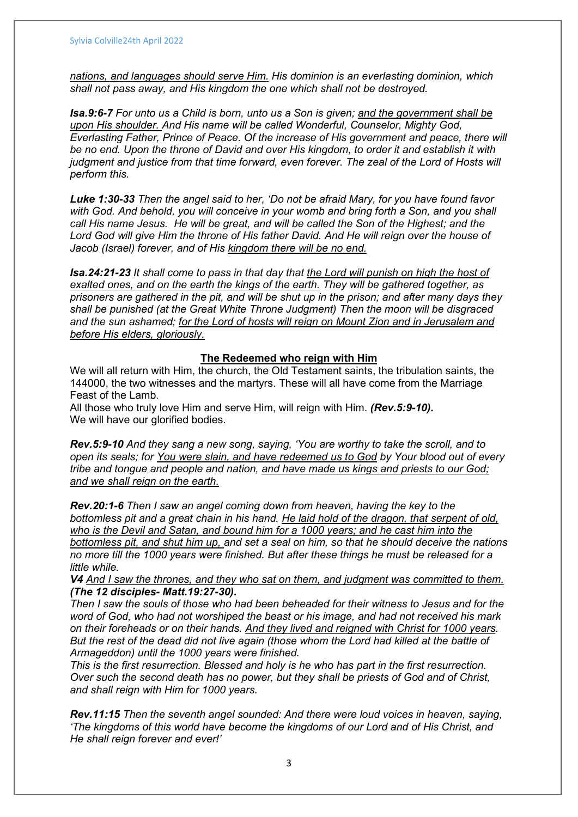nations, and languages should serve Him. His dominion is an everlasting dominion, which shall not pass away, and His kingdom the one which shall not be destroyed.

Isa.9:6-7 For unto us a Child is born, unto us a Son is given; and the government shall be upon His shoulder. And His name will be called Wonderful, Counselor, Mighty God, Everlasting Father, Prince of Peace. Of the increase of His government and peace, there will be no end. Upon the throne of David and over His kingdom, to order it and establish it with judgment and justice from that time forward, even forever. The zeal of the Lord of Hosts will perform this.

Luke 1:30-33 Then the angel said to her, 'Do not be afraid Mary, for you have found favor with God. And behold, you will conceive in your womb and bring forth a Son, and you shall call His name Jesus. He will be great, and will be called the Son of the Highest; and the Lord God will give Him the throne of His father David. And He will reign over the house of Jacob (Israel) forever, and of His kingdom there will be no end.

Isa.24:21-23 It shall come to pass in that day that the Lord will punish on high the host of exalted ones, and on the earth the kings of the earth. They will be gathered together, as prisoners are gathered in the pit, and will be shut up in the prison; and after many days they shall be punished (at the Great White Throne Judgment) Then the moon will be disgraced and the sun ashamed; for the Lord of hosts will reign on Mount Zion and in Jerusalem and before His elders, gloriously.

#### The Redeemed who reign with Him

We will all return with Him, the church, the Old Testament saints, the tribulation saints, the 144000, the two witnesses and the martyrs. These will all have come from the Marriage Feast of the Lamb.

All those who truly love Him and serve Him, will reign with Him. (Rev.5:9-10). We will have our glorified bodies.

Rev.5:9-10 And they sang a new song, saying, 'You are worthy to take the scroll, and to open its seals; for You were slain, and have redeemed us to God by Your blood out of every tribe and tongue and people and nation, and have made us kings and priests to our God; and we shall reign on the earth.

Rev.20:1-6 Then I saw an angel coming down from heaven, having the key to the bottomless pit and a great chain in his hand. He laid hold of the dragon, that serpent of old, who is the Devil and Satan, and bound him for a 1000 years; and he cast him into the bottomless pit, and shut him up, and set a seal on him, so that he should deceive the nations no more till the 1000 years were finished. But after these things he must be released for a little while.

V4 And I saw the thrones, and they who sat on them, and judgment was committed to them. (The 12 disciples- Matt.19:27-30).

Then I saw the souls of those who had been beheaded for their witness to Jesus and for the word of God, who had not worshiped the beast or his image, and had not received his mark on their foreheads or on their hands. And they lived and reigned with Christ for 1000 years. But the rest of the dead did not live again (those whom the Lord had killed at the battle of Armageddon) until the 1000 years were finished.

This is the first resurrection. Blessed and holy is he who has part in the first resurrection. Over such the second death has no power, but they shall be priests of God and of Christ, and shall reign with Him for 1000 years.

Rev.11:15 Then the seventh angel sounded: And there were loud voices in heaven, saying, 'The kingdoms of this world have become the kingdoms of our Lord and of His Christ, and He shall reign forever and ever!'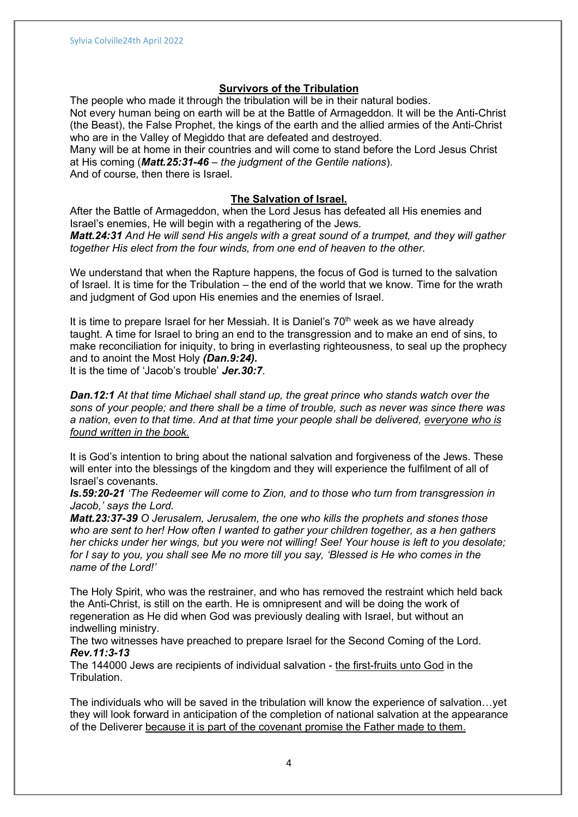# Survivors of the Tribulation

The people who made it through the tribulation will be in their natural bodies. Not every human being on earth will be at the Battle of Armageddon. It will be the Anti-Christ (the Beast), the False Prophet, the kings of the earth and the allied armies of the Anti-Christ who are in the Valley of Megiddo that are defeated and destroyed.

Many will be at home in their countries and will come to stand before the Lord Jesus Christ at His coming (Matt.25:31-46 – the judgment of the Gentile nations). And of course, then there is Israel.

#### The Salvation of Israel.

After the Battle of Armageddon, when the Lord Jesus has defeated all His enemies and Israel's enemies, He will begin with a regathering of the Jews.

Matt. 24:31 And He will send His angels with a great sound of a trumpet, and they will gather together His elect from the four winds, from one end of heaven to the other.

We understand that when the Rapture happens, the focus of God is turned to the salvation of Israel. It is time for the Tribulation – the end of the world that we know. Time for the wrath and judgment of God upon His enemies and the enemies of Israel.

It is time to prepare Israel for her Messiah. It is Daniel's 70<sup>th</sup> week as we have already taught. A time for Israel to bring an end to the transgression and to make an end of sins, to make reconciliation for iniquity, to bring in everlasting righteousness, to seal up the prophecy and to anoint the Most Holy (Dan.9:24).

It is the time of 'Jacob's trouble' Jer.30:7.

**Dan.12:1** At that time Michael shall stand up, the great prince who stands watch over the sons of your people; and there shall be a time of trouble, such as never was since there was a nation, even to that time. And at that time your people shall be delivered, everyone who is found written in the book.

It is God's intention to bring about the national salvation and forgiveness of the Jews. These will enter into the blessings of the kingdom and they will experience the fulfilment of all of Israel's covenants.

Is.59:20-21 'The Redeemer will come to Zion, and to those who turn from transgression in Jacob,' says the Lord.

Matt.23:37-39 O Jerusalem, Jerusalem, the one who kills the prophets and stones those who are sent to her! How often I wanted to gather your children together, as a hen gathers her chicks under her wings, but you were not willing! See! Your house is left to you desolate; for I say to you, you shall see Me no more till you say, 'Blessed is He who comes in the name of the Lord!'

The Holy Spirit, who was the restrainer, and who has removed the restraint which held back the Anti-Christ, is still on the earth. He is omnipresent and will be doing the work of regeneration as He did when God was previously dealing with Israel, but without an indwelling ministry.

The two witnesses have preached to prepare Israel for the Second Coming of the Lord. Rev.11:3-13

The 144000 Jews are recipients of individual salvation - the first-fruits unto God in the Tribulation.

The individuals who will be saved in the tribulation will know the experience of salvation…yet they will look forward in anticipation of the completion of national salvation at the appearance of the Deliverer because it is part of the covenant promise the Father made to them.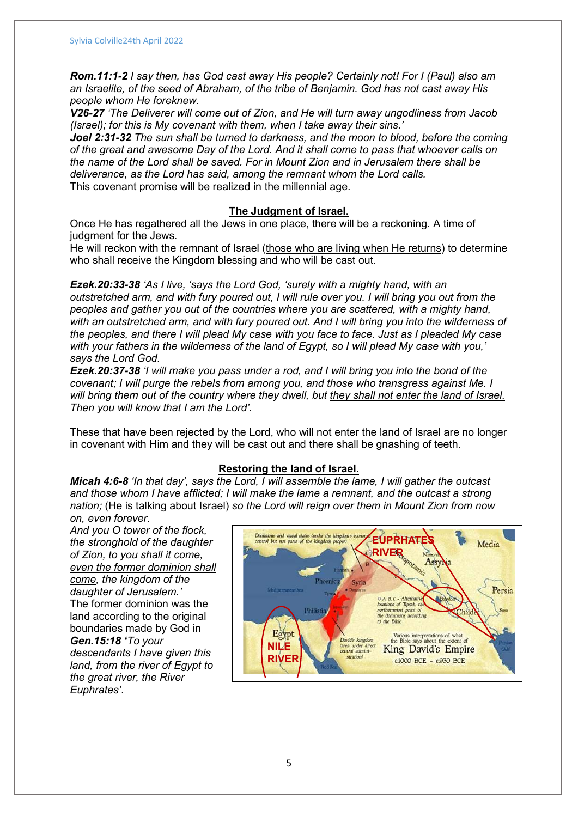Rom.11:1-2 I say then, has God cast away His people? Certainly not! For I (Paul) also am an Israelite, of the seed of Abraham, of the tribe of Benjamin. God has not cast away His people whom He foreknew.

V26-27 'The Deliverer will come out of Zion, and He will turn away ungodliness from Jacob (Israel); for this is My covenant with them, when I take away their sins.'

Joel 2:31-32 The sun shall be turned to darkness, and the moon to blood, before the coming of the great and awesome Day of the Lord. And it shall come to pass that whoever calls on the name of the Lord shall be saved. For in Mount Zion and in Jerusalem there shall be deliverance, as the Lord has said, among the remnant whom the Lord calls. This covenant promise will be realized in the millennial age.

#### The Judgment of Israel.

Once He has regathered all the Jews in one place, there will be a reckoning. A time of judgment for the Jews.

He will reckon with the remnant of Israel (those who are living when He returns) to determine who shall receive the Kingdom blessing and who will be cast out.

Ezek.20:33-38 'As I live, 'says the Lord God, 'surely with a mighty hand, with an outstretched arm, and with fury poured out, I will rule over you. I will bring you out from the peoples and gather you out of the countries where you are scattered, with a mighty hand, with an outstretched arm, and with fury poured out. And I will bring you into the wilderness of the peoples, and there I will plead My case with you face to face. Just as I pleaded My case with your fathers in the wilderness of the land of Egypt, so I will plead My case with you,' says the Lord God.

Ezek.20:37-38 'I will make you pass under a rod, and I will bring you into the bond of the covenant; I will purge the rebels from among you, and those who transgress against Me. I will bring them out of the country where they dwell, but they shall not enter the land of Israel. Then you will know that I am the Lord'.

These that have been rejected by the Lord, who will not enter the land of Israel are no longer in covenant with Him and they will be cast out and there shall be gnashing of teeth.

#### Restoring the land of Israel.

Micah 4:6-8 'In that day', says the Lord, I will assemble the lame, I will gather the outcast and those whom I have afflicted; I will make the lame a remnant, and the outcast a strong nation; (He is talking about Israel) so the Lord will reign over them in Mount Zion from now on, even forever.

And you O tower of the flock, the stronghold of the daughter of Zion, to you shall it come, even the former dominion shall come, the kingdom of the daughter of Jerusalem.' The former dominion was the land according to the original boundaries made by God in Gen.15:18 'To your descendants I have given this land, from the river of Egypt to the great river, the River descendants I have given this<br>land, from the river of Egypt to<br>the great river, the River<br>Euphrates'.

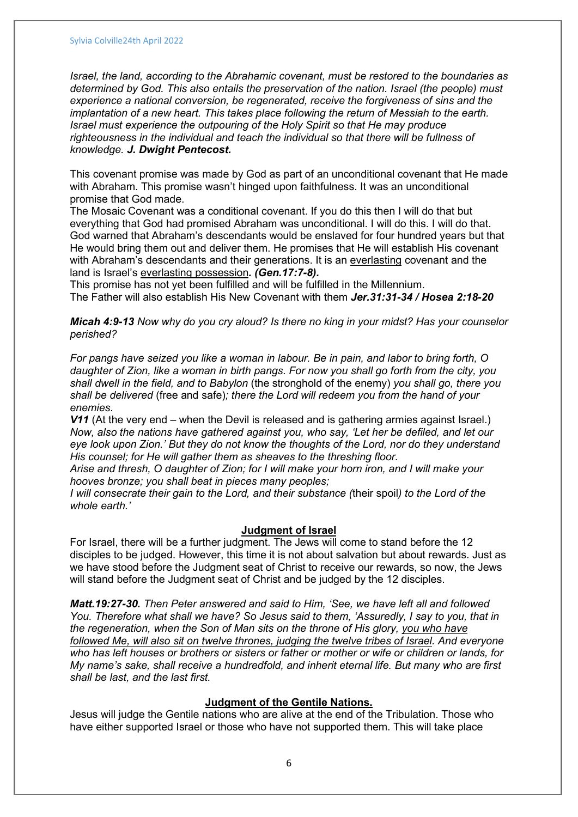Israel, the land, according to the Abrahamic covenant, must be restored to the boundaries as determined by God. This also entails the preservation of the nation. Israel (the people) must experience a national conversion, be regenerated, receive the forgiveness of sins and the implantation of a new heart. This takes place following the return of Messiah to the earth. Israel must experience the outpouring of the Holy Spirit so that He may produce righteousness in the individual and teach the individual so that there will be fullness of knowledge. J. Dwight Pentecost.

This covenant promise was made by God as part of an unconditional covenant that He made with Abraham. This promise wasn't hinged upon faithfulness. It was an unconditional promise that God made.

The Mosaic Covenant was a conditional covenant. If you do this then I will do that but everything that God had promised Abraham was unconditional. I will do this. I will do that. God warned that Abraham's descendants would be enslaved for four hundred years but that He would bring them out and deliver them. He promises that He will establish His covenant with Abraham's descendants and their generations. It is an everlasting covenant and the land is Israel's everlasting possession. (Gen.17:7-8).

This promise has not yet been fulfilled and will be fulfilled in the Millennium. The Father will also establish His New Covenant with them Jer.31:31-34 / Hosea 2:18-20

Micah 4:9-13 Now why do you cry aloud? Is there no king in your midst? Has your counselor perished?

For pangs have seized you like a woman in labour. Be in pain, and labor to bring forth, O daughter of Zion, like a woman in birth pangs. For now you shall go forth from the city, you shall dwell in the field, and to Babylon (the stronghold of the enemy) you shall go, there you shall be delivered (free and safe); there the Lord will redeem you from the hand of your enemies.

V11 (At the very end – when the Devil is released and is gathering armies against Israel.) Now, also the nations have gathered against you, who say, 'Let her be defiled, and let our eye look upon Zion.' But they do not know the thoughts of the Lord, nor do they understand His counsel; for He will gather them as sheaves to the threshing floor.

Arise and thresh, O daughter of Zion; for I will make your horn iron, and I will make your hooves bronze; you shall beat in pieces many peoples;

I will consecrate their gain to the Lord, and their substance (their spoil) to the Lord of the whole earth.'

#### Judgment of Israel

For Israel, there will be a further judgment. The Jews will come to stand before the 12 disciples to be judged. However, this time it is not about salvation but about rewards. Just as we have stood before the Judgment seat of Christ to receive our rewards, so now, the Jews will stand before the Judgment seat of Christ and be judged by the 12 disciples.

Matt.19:27-30. Then Peter answered and said to Him, 'See, we have left all and followed You. Therefore what shall we have? So Jesus said to them, 'Assuredly, I say to you, that in the regeneration, when the Son of Man sits on the throne of His glory, you who have followed Me, will also sit on twelve thrones, judging the twelve tribes of Israel. And everyone who has left houses or brothers or sisters or father or mother or wife or children or lands, for My name's sake, shall receive a hundredfold, and inherit eternal life. But many who are first shall be last, and the last first.

# Judgment of the Gentile Nations.

Jesus will judge the Gentile nations who are alive at the end of the Tribulation. Those who have either supported Israel or those who have not supported them. This will take place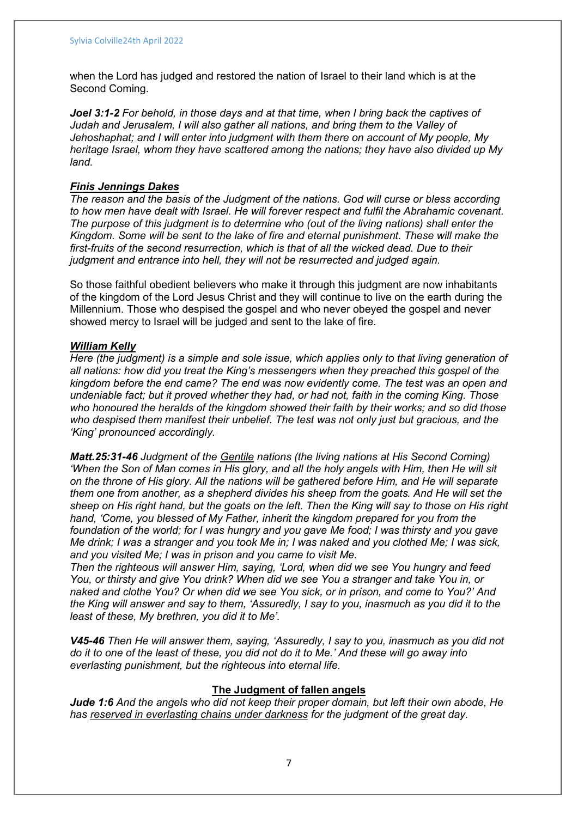when the Lord has judged and restored the nation of Israel to their land which is at the Second Coming.

Joel 3:1-2 For behold, in those days and at that time, when I bring back the captives of Judah and Jerusalem, I will also gather all nations, and bring them to the Valley of Jehoshaphat; and I will enter into judgment with them there on account of My people, My heritage Israel, whom they have scattered among the nations; they have also divided up My land.

#### Finis Jennings Dakes

The reason and the basis of the Judgment of the nations. God will curse or bless according to how men have dealt with Israel. He will forever respect and fulfil the Abrahamic covenant. The purpose of this judgment is to determine who (out of the living nations) shall enter the Kingdom. Some will be sent to the lake of fire and eternal punishment. These will make the first-fruits of the second resurrection, which is that of all the wicked dead. Due to their judgment and entrance into hell, they will not be resurrected and judged again.

So those faithful obedient believers who make it through this judgment are now inhabitants of the kingdom of the Lord Jesus Christ and they will continue to live on the earth during the Millennium. Those who despised the gospel and who never obeyed the gospel and never showed mercy to Israel will be judged and sent to the lake of fire.

#### William Kelly

Here (the judgment) is a simple and sole issue, which applies only to that living generation of all nations: how did you treat the King's messengers when they preached this gospel of the kingdom before the end came? The end was now evidently come. The test was an open and undeniable fact; but it proved whether they had, or had not, faith in the coming King. Those who honoured the heralds of the kingdom showed their faith by their works; and so did those who despised them manifest their unbelief. The test was not only just but gracious, and the 'King' pronounced accordingly.

Matt.25:31-46 Judgment of the Gentile nations (the living nations at His Second Coming) 'When the Son of Man comes in His glory, and all the holy angels with Him, then He will sit on the throne of His glory. All the nations will be gathered before Him, and He will separate them one from another, as a shepherd divides his sheep from the goats. And He will set the sheep on His right hand, but the goats on the left. Then the King will say to those on His right hand, 'Come, you blessed of My Father, inherit the kingdom prepared for you from the foundation of the world; for I was hungry and you gave Me food; I was thirsty and you gave Me drink; I was a stranger and you took Me in; I was naked and you clothed Me; I was sick, and you visited Me; I was in prison and you came to visit Me.

Then the righteous will answer Him, saying, 'Lord, when did we see You hungry and feed You, or thirsty and give You drink? When did we see You a stranger and take You in, or naked and clothe You? Or when did we see You sick, or in prison, and come to You?' And the King will answer and say to them, 'Assuredly, I say to you, inasmuch as you did it to the least of these, My brethren, you did it to Me'.

V45-46 Then He will answer them, saying, 'Assuredly, I say to you, inasmuch as you did not do it to one of the least of these, you did not do it to Me.' And these will go away into everlasting punishment, but the righteous into eternal life.

### The Judgment of fallen angels

Jude 1:6 And the angels who did not keep their proper domain, but left their own abode, He has reserved in everlasting chains under darkness for the judgment of the great day.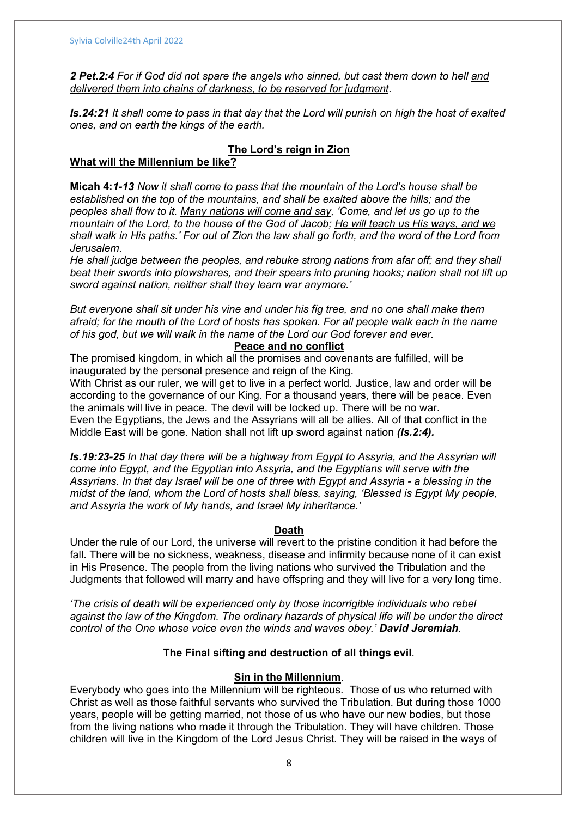2 Pet.2:4 For if God did not spare the angels who sinned, but cast them down to hell and delivered them into chains of darkness, to be reserved for judgment.

Is.24:21 It shall come to pass in that day that the Lord will punish on high the host of exalted ones, and on earth the kings of the earth.

# The Lord's reign in Zion

# What will the Millennium be like?

Micah 4:1-13 Now it shall come to pass that the mountain of the Lord's house shall be established on the top of the mountains, and shall be exalted above the hills; and the peoples shall flow to it. Many nations will come and say, 'Come, and let us go up to the mountain of the Lord, to the house of the God of Jacob; He will teach us His ways, and we shall walk in His paths.' For out of Zion the law shall go forth, and the word of the Lord from Jerusalem.

He shall judge between the peoples, and rebuke strong nations from afar off; and they shall beat their swords into plowshares, and their spears into pruning hooks; nation shall not lift up sword against nation, neither shall they learn war anymore.'

But everyone shall sit under his vine and under his fig tree, and no one shall make them afraid; for the mouth of the Lord of hosts has spoken. For all people walk each in the name of his god, but we will walk in the name of the Lord our God forever and ever.

# Peace and no conflict

The promised kingdom, in which all the promises and covenants are fulfilled, will be inaugurated by the personal presence and reign of the King.

With Christ as our ruler, we will get to live in a perfect world. Justice, law and order will be according to the governance of our King. For a thousand years, there will be peace. Even the animals will live in peace. The devil will be locked up. There will be no war. Even the Egyptians, the Jews and the Assyrians will all be allies. All of that conflict in the

Middle East will be gone. Nation shall not lift up sword against nation (Is.2:4).

Is.19:23-25 In that day there will be a highway from Egypt to Assyria, and the Assyrian will come into Egypt, and the Egyptian into Assyria, and the Egyptians will serve with the Assyrians. In that day Israel will be one of three with Egypt and Assyria - a blessing in the midst of the land, whom the Lord of hosts shall bless, saying, 'Blessed is Egypt My people, and Assyria the work of My hands, and Israel My inheritance.'

#### Death

Under the rule of our Lord, the universe will revert to the pristine condition it had before the fall. There will be no sickness, weakness, disease and infirmity because none of it can exist in His Presence. The people from the living nations who survived the Tribulation and the Judgments that followed will marry and have offspring and they will live for a very long time.

'The crisis of death will be experienced only by those incorrigible individuals who rebel against the law of the Kingdom. The ordinary hazards of physical life will be under the direct control of the One whose voice even the winds and waves obey.' David Jeremiah.

# The Final sifting and destruction of all things evil.

# Sin in the Millennium.

Everybody who goes into the Millennium will be righteous. Those of us who returned with Christ as well as those faithful servants who survived the Tribulation. But during those 1000 years, people will be getting married, not those of us who have our new bodies, but those from the living nations who made it through the Tribulation. They will have children. Those children will live in the Kingdom of the Lord Jesus Christ. They will be raised in the ways of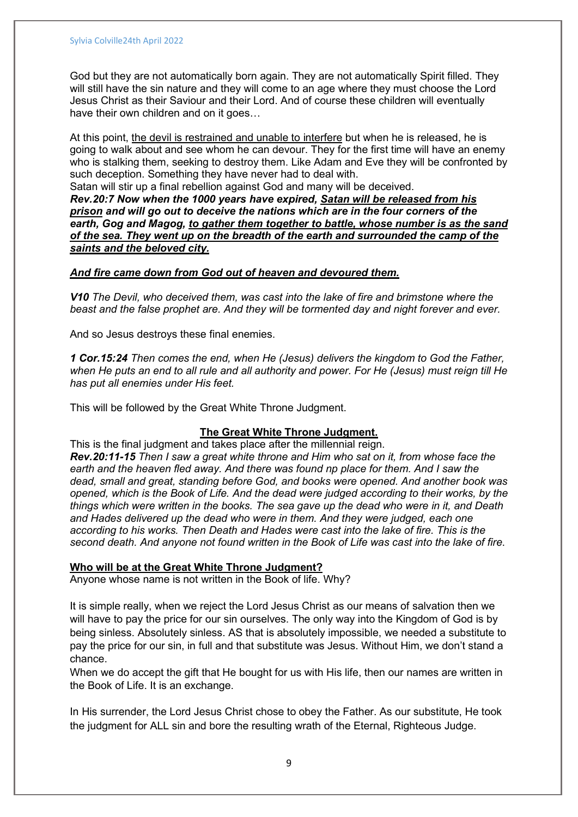God but they are not automatically born again. They are not automatically Spirit filled. They will still have the sin nature and they will come to an age where they must choose the Lord Jesus Christ as their Saviour and their Lord. And of course these children will eventually have their own children and on it goes...

At this point, the devil is restrained and unable to interfere but when he is released, he is going to walk about and see whom he can devour. They for the first time will have an enemy who is stalking them, seeking to destroy them. Like Adam and Eve they will be confronted by such deception. Something they have never had to deal with.

Satan will stir up a final rebellion against God and many will be deceived. Rev.20:7 Now when the 1000 years have expired, Satan will be released from his prison and will go out to deceive the nations which are in the four corners of the earth, Gog and Magog, to gather them together to battle, whose number is as the sand of the sea. They went up on the breadth of the earth and surrounded the camp of the

saints and the beloved city.

#### And fire came down from God out of heaven and devoured them.

V10 The Devil, who deceived them, was cast into the lake of fire and brimstone where the beast and the false prophet are. And they will be tormented day and night forever and ever.

And so Jesus destroys these final enemies.

1 Cor.15:24 Then comes the end, when He (Jesus) delivers the kingdom to God the Father, when He puts an end to all rule and all authority and power. For He (Jesus) must reign till He has put all enemies under His feet.

This will be followed by the Great White Throne Judgment.

# The Great White Throne Judgment.

This is the final judgment and takes place after the millennial reign. Rev.20:11-15 Then I saw a great white throne and Him who sat on it, from whose face the earth and the heaven fled away. And there was found np place for them. And I saw the dead, small and great, standing before God, and books were opened. And another book was opened, which is the Book of Life. And the dead were judged according to their works, by the things which were written in the books. The sea gave up the dead who were in it, and Death and Hades delivered up the dead who were in them. And they were judged, each one according to his works. Then Death and Hades were cast into the lake of fire. This is the second death. And anyone not found written in the Book of Life was cast into the lake of fire.

# Who will be at the Great White Throne Judgment?

Anyone whose name is not written in the Book of life. Why?

It is simple really, when we reject the Lord Jesus Christ as our means of salvation then we will have to pay the price for our sin ourselves. The only way into the Kingdom of God is by being sinless. Absolutely sinless. AS that is absolutely impossible, we needed a substitute to pay the price for our sin, in full and that substitute was Jesus. Without Him, we don't stand a chance.

When we do accept the gift that He bought for us with His life, then our names are written in the Book of Life. It is an exchange.

In His surrender, the Lord Jesus Christ chose to obey the Father. As our substitute, He took the judgment for ALL sin and bore the resulting wrath of the Eternal, Righteous Judge.